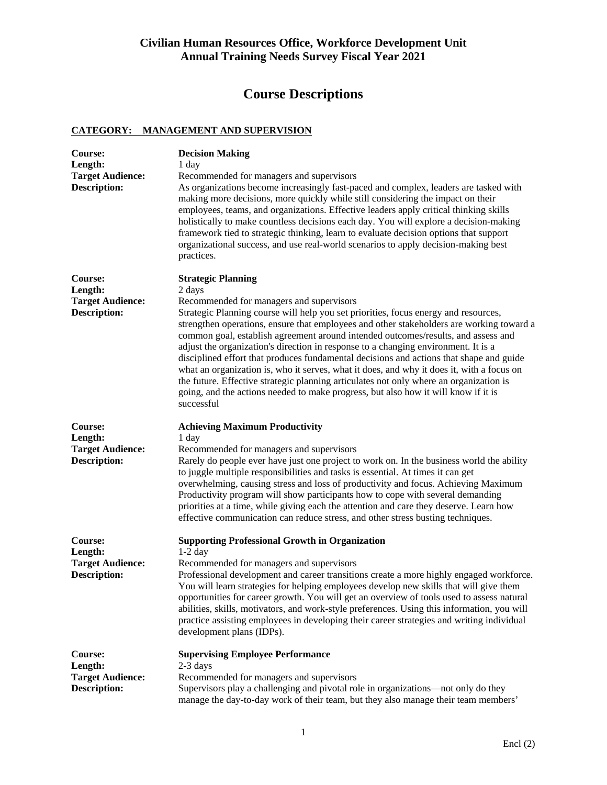# **Course Descriptions**

### **CATEGORY: MANAGEMENT AND SUPERVISION**

| Course:<br>Length:<br><b>Target Audience:</b><br><b>Description:</b> | <b>Decision Making</b><br>1 day<br>Recommended for managers and supervisors<br>As organizations become increasingly fast-paced and complex, leaders are tasked with<br>making more decisions, more quickly while still considering the impact on their<br>employees, teams, and organizations. Effective leaders apply critical thinking skills<br>holistically to make countless decisions each day. You will explore a decision-making<br>framework tied to strategic thinking, learn to evaluate decision options that support<br>organizational success, and use real-world scenarios to apply decision-making best<br>practices.                                                                                                                                                                                               |
|----------------------------------------------------------------------|-------------------------------------------------------------------------------------------------------------------------------------------------------------------------------------------------------------------------------------------------------------------------------------------------------------------------------------------------------------------------------------------------------------------------------------------------------------------------------------------------------------------------------------------------------------------------------------------------------------------------------------------------------------------------------------------------------------------------------------------------------------------------------------------------------------------------------------|
| Course:<br>Length:<br><b>Target Audience:</b><br><b>Description:</b> | <b>Strategic Planning</b><br>2 days<br>Recommended for managers and supervisors<br>Strategic Planning course will help you set priorities, focus energy and resources,<br>strengthen operations, ensure that employees and other stakeholders are working toward a<br>common goal, establish agreement around intended outcomes/results, and assess and<br>adjust the organization's direction in response to a changing environment. It is a<br>disciplined effort that produces fundamental decisions and actions that shape and guide<br>what an organization is, who it serves, what it does, and why it does it, with a focus on<br>the future. Effective strategic planning articulates not only where an organization is<br>going, and the actions needed to make progress, but also how it will know if it is<br>successful |
| Course:<br>Length:<br><b>Target Audience:</b><br><b>Description:</b> | <b>Achieving Maximum Productivity</b><br>1 day<br>Recommended for managers and supervisors<br>Rarely do people ever have just one project to work on. In the business world the ability<br>to juggle multiple responsibilities and tasks is essential. At times it can get<br>overwhelming, causing stress and loss of productivity and focus. Achieving Maximum<br>Productivity program will show participants how to cope with several demanding<br>priorities at a time, while giving each the attention and care they deserve. Learn how<br>effective communication can reduce stress, and other stress busting techniques.                                                                                                                                                                                                     |
| Course:<br>Length:<br><b>Target Audience:</b><br><b>Description:</b> | <b>Supporting Professional Growth in Organization</b><br>$1-2$ day<br>Recommended for managers and supervisors<br>Professional development and career transitions create a more highly engaged workforce.<br>You will learn strategies for helping employees develop new skills that will give them<br>opportunities for career growth. You will get an overview of tools used to assess natural<br>abilities, skills, motivators, and work-style preferences. Using this information, you will<br>practice assisting employees in developing their career strategies and writing individual<br>development plans (IDPs).                                                                                                                                                                                                           |
| Course:<br>Length:<br><b>Target Audience:</b><br><b>Description:</b> | <b>Supervising Employee Performance</b><br>$2-3$ days<br>Recommended for managers and supervisors<br>Supervisors play a challenging and pivotal role in organizations—not only do they<br>manage the day-to-day work of their team, but they also manage their team members'                                                                                                                                                                                                                                                                                                                                                                                                                                                                                                                                                        |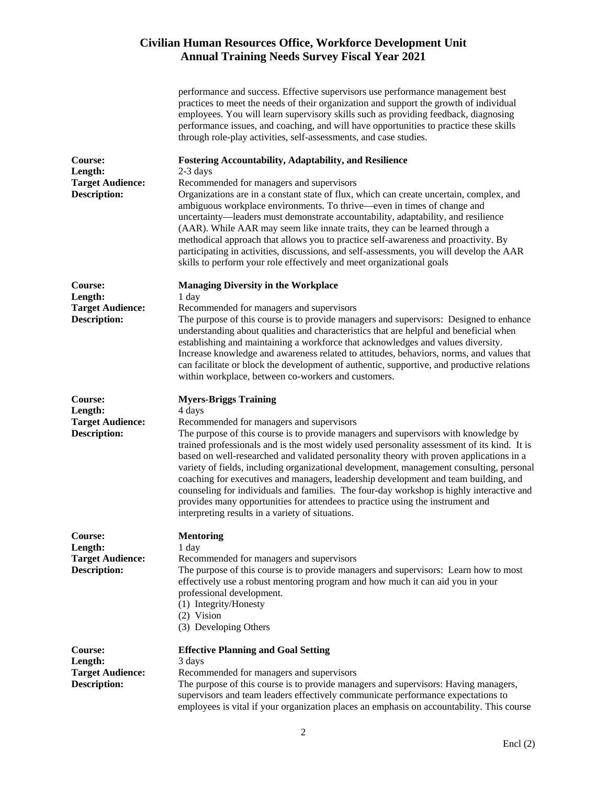|                                                                      | performance and success. Effective supervisors use performance management best<br>practices to meet the needs of their organization and support the growth of individual<br>employees. You will learn supervisory skills such as providing feedback, diagnosing<br>performance issues, and coaching, and will have opportunities to practice these skills<br>through role-play activities, self-assessments, and case studies.                                                                                                                                                                                                                                                                                                                                                           |
|----------------------------------------------------------------------|------------------------------------------------------------------------------------------------------------------------------------------------------------------------------------------------------------------------------------------------------------------------------------------------------------------------------------------------------------------------------------------------------------------------------------------------------------------------------------------------------------------------------------------------------------------------------------------------------------------------------------------------------------------------------------------------------------------------------------------------------------------------------------------|
| Course:<br>Length:<br><b>Target Audience:</b><br><b>Description:</b> | <b>Fostering Accountability, Adaptability, and Resilience</b><br>$2-3$ days<br>Recommended for managers and supervisors<br>Organizations are in a constant state of flux, which can create uncertain, complex, and<br>ambiguous workplace environments. To thrive—even in times of change and<br>uncertainty—leaders must demonstrate accountability, adaptability, and resilience<br>(AAR). While AAR may seem like innate traits, they can be learned through a<br>methodical approach that allows you to practice self-awareness and proactivity. By<br>participating in activities, discussions, and self-assessments, you will develop the AAR<br>skills to perform your role effectively and meet organizational goals                                                             |
| Course:<br>Length:<br><b>Target Audience:</b><br><b>Description:</b> | <b>Managing Diversity in the Workplace</b><br>1 day<br>Recommended for managers and supervisors<br>The purpose of this course is to provide managers and supervisors: Designed to enhance<br>understanding about qualities and characteristics that are helpful and beneficial when<br>establishing and maintaining a workforce that acknowledges and values diversity.<br>Increase knowledge and awareness related to attitudes, behaviors, norms, and values that<br>can facilitate or block the development of authentic, supportive, and productive relations<br>within workplace, between co-workers and customers.                                                                                                                                                                 |
| Course:<br>Length:<br><b>Target Audience:</b><br><b>Description:</b> | <b>Myers-Briggs Training</b><br>4 days<br>Recommended for managers and supervisors<br>The purpose of this course is to provide managers and supervisors with knowledge by<br>trained professionals and is the most widely used personality assessment of its kind. It is<br>based on well-researched and validated personality theory with proven applications in a<br>variety of fields, including organizational development, management consulting, personal<br>coaching for executives and managers, leadership development and team building, and<br>counseling for individuals and families. The four-day workshop is highly interactive and<br>provides many opportunities for attendees to practice using the instrument and<br>interpreting results in a variety of situations. |
| Course:<br>Length:<br><b>Target Audience:</b><br><b>Description:</b> | <b>Mentoring</b><br>1 day<br>Recommended for managers and supervisors<br>The purpose of this course is to provide managers and supervisors: Learn how to most<br>effectively use a robust mentoring program and how much it can aid you in your<br>professional development.<br>(1) Integrity/Honesty<br>(2) Vision<br>(3) Developing Others                                                                                                                                                                                                                                                                                                                                                                                                                                             |
| Course:<br>Length:<br><b>Target Audience:</b><br><b>Description:</b> | <b>Effective Planning and Goal Setting</b><br>3 days<br>Recommended for managers and supervisors<br>The purpose of this course is to provide managers and supervisors: Having managers,<br>supervisors and team leaders effectively communicate performance expectations to<br>employees is vital if your organization places an emphasis on accountability. This course                                                                                                                                                                                                                                                                                                                                                                                                                 |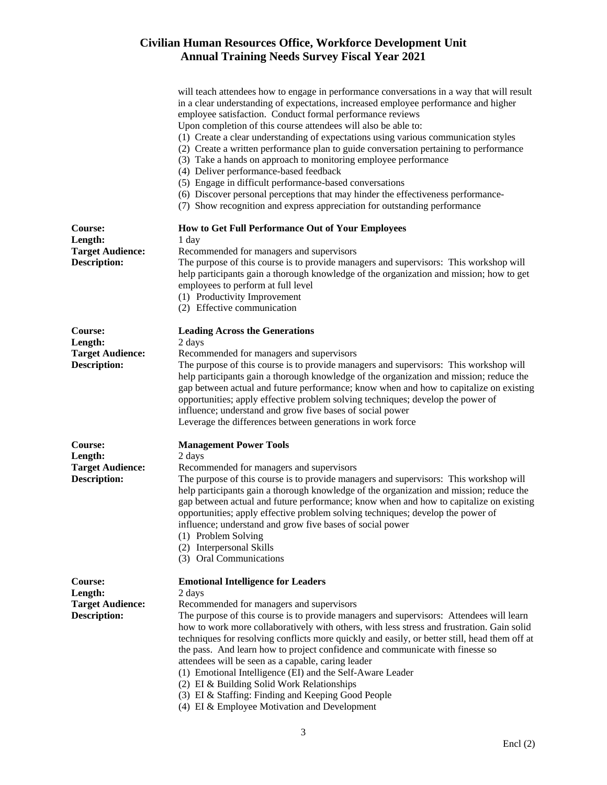|                                                                      | will teach attendees how to engage in performance conversations in a way that will result<br>in a clear understanding of expectations, increased employee performance and higher<br>employee satisfaction. Conduct formal performance reviews<br>Upon completion of this course attendees will also be able to:<br>(1) Create a clear understanding of expectations using various communication styles<br>(2) Create a written performance plan to guide conversation pertaining to performance<br>(3) Take a hands on approach to monitoring employee performance<br>(4) Deliver performance-based feedback<br>(5) Engage in difficult performance-based conversations<br>(6) Discover personal perceptions that may hinder the effectiveness performance-<br>(7) Show recognition and express appreciation for outstanding performance |
|----------------------------------------------------------------------|------------------------------------------------------------------------------------------------------------------------------------------------------------------------------------------------------------------------------------------------------------------------------------------------------------------------------------------------------------------------------------------------------------------------------------------------------------------------------------------------------------------------------------------------------------------------------------------------------------------------------------------------------------------------------------------------------------------------------------------------------------------------------------------------------------------------------------------|
| Course:<br>Length:<br><b>Target Audience:</b><br><b>Description:</b> | How to Get Full Performance Out of Your Employees<br>1 day<br>Recommended for managers and supervisors<br>The purpose of this course is to provide managers and supervisors: This workshop will<br>help participants gain a thorough knowledge of the organization and mission; how to get<br>employees to perform at full level<br>(1) Productivity Improvement<br>(2) Effective communication                                                                                                                                                                                                                                                                                                                                                                                                                                          |
| Course:<br>Length:<br><b>Target Audience:</b><br><b>Description:</b> | <b>Leading Across the Generations</b><br>2 days<br>Recommended for managers and supervisors<br>The purpose of this course is to provide managers and supervisors: This workshop will<br>help participants gain a thorough knowledge of the organization and mission; reduce the<br>gap between actual and future performance; know when and how to capitalize on existing<br>opportunities; apply effective problem solving techniques; develop the power of<br>influence; understand and grow five bases of social power<br>Leverage the differences between generations in work force                                                                                                                                                                                                                                                  |
| Course:<br>Length:<br><b>Target Audience:</b><br><b>Description:</b> | <b>Management Power Tools</b><br>2 days<br>Recommended for managers and supervisors<br>The purpose of this course is to provide managers and supervisors: This workshop will<br>help participants gain a thorough knowledge of the organization and mission; reduce the<br>gap between actual and future performance; know when and how to capitalize on existing<br>opportunities; apply effective problem solving techniques; develop the power of<br>influence; understand and grow five bases of social power<br>(1) Problem Solving<br>(2) Interpersonal Skills<br>(3) Oral Communications                                                                                                                                                                                                                                          |
| Course:<br>Length:<br><b>Target Audience:</b><br><b>Description:</b> | <b>Emotional Intelligence for Leaders</b><br>2 days<br>Recommended for managers and supervisors<br>The purpose of this course is to provide managers and supervisors: Attendees will learn<br>how to work more collaboratively with others, with less stress and frustration. Gain solid<br>techniques for resolving conflicts more quickly and easily, or better still, head them off at<br>the pass. And learn how to project confidence and communicate with finesse so<br>attendees will be seen as a capable, caring leader<br>(1) Emotional Intelligence (EI) and the Self-Aware Leader<br>(2) EI & Building Solid Work Relationships<br>(3) EI & Staffing: Finding and Keeping Good People<br>(4) EI & Employee Motivation and Development                                                                                        |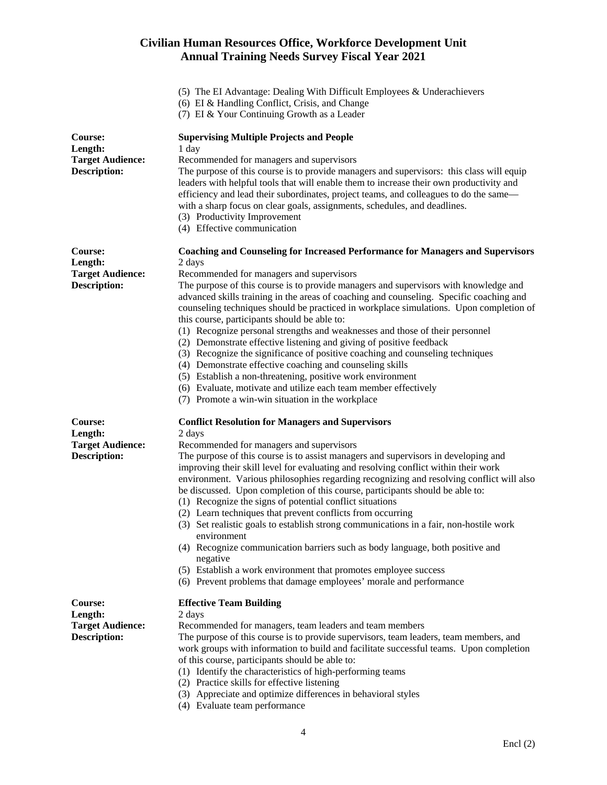- (5) The EI Advantage: Dealing With Difficult Employees & Underachievers
- (6) EI & Handling Conflict, Crisis, and Change
- (7) EI & Your Continuing Growth as a Leader

| Course:<br>Length:<br><b>Target Audience:</b><br><b>Description:</b> | <b>Supervising Multiple Projects and People</b><br>1 day<br>Recommended for managers and supervisors<br>The purpose of this course is to provide managers and supervisors: this class will equip<br>leaders with helpful tools that will enable them to increase their own productivity and<br>efficiency and lead their subordinates, project teams, and colleagues to do the same—<br>with a sharp focus on clear goals, assignments, schedules, and deadlines.<br>(3) Productivity Improvement<br>(4) Effective communication                                                                                                                                                                                                                                                                                                                                                                                                                                  |
|----------------------------------------------------------------------|-------------------------------------------------------------------------------------------------------------------------------------------------------------------------------------------------------------------------------------------------------------------------------------------------------------------------------------------------------------------------------------------------------------------------------------------------------------------------------------------------------------------------------------------------------------------------------------------------------------------------------------------------------------------------------------------------------------------------------------------------------------------------------------------------------------------------------------------------------------------------------------------------------------------------------------------------------------------|
| Course:<br>Length:<br><b>Target Audience:</b><br><b>Description:</b> | <b>Coaching and Counseling for Increased Performance for Managers and Supervisors</b><br>2 days<br>Recommended for managers and supervisors<br>The purpose of this course is to provide managers and supervisors with knowledge and<br>advanced skills training in the areas of coaching and counseling. Specific coaching and<br>counseling techniques should be practiced in workplace simulations. Upon completion of<br>this course, participants should be able to:<br>(1) Recognize personal strengths and weaknesses and those of their personnel<br>(2) Demonstrate effective listening and giving of positive feedback<br>(3) Recognize the significance of positive coaching and counseling techniques<br>(4) Demonstrate effective coaching and counseling skills<br>(5) Establish a non-threatening, positive work environment<br>(6) Evaluate, motivate and utilize each team member effectively<br>(7) Promote a win-win situation in the workplace |
| Course:<br>Length:<br><b>Target Audience:</b><br><b>Description:</b> | <b>Conflict Resolution for Managers and Supervisors</b><br>2 days<br>Recommended for managers and supervisors<br>The purpose of this course is to assist managers and supervisors in developing and<br>improving their skill level for evaluating and resolving conflict within their work<br>environment. Various philosophies regarding recognizing and resolving conflict will also<br>be discussed. Upon completion of this course, participants should be able to:<br>(1) Recognize the signs of potential conflict situations<br>(2) Learn techniques that prevent conflicts from occurring<br>(3) Set realistic goals to establish strong communications in a fair, non-hostile work<br>environment<br>(4) Recognize communication barriers such as body language, both positive and<br>negative<br>(5) Establish a work environment that promotes employee success<br>(6) Prevent problems that damage employees' morale and performance                  |
| Course:<br>Length:<br><b>Target Audience:</b><br><b>Description:</b> | <b>Effective Team Building</b><br>2 days<br>Recommended for managers, team leaders and team members<br>The purpose of this course is to provide supervisors, team leaders, team members, and<br>work groups with information to build and facilitate successful teams. Upon completion<br>of this course, participants should be able to:<br>(1) Identify the characteristics of high-performing teams<br>(2) Practice skills for effective listening<br>(3) Appreciate and optimize differences in behavioral styles<br>(4) Evaluate team performance                                                                                                                                                                                                                                                                                                                                                                                                            |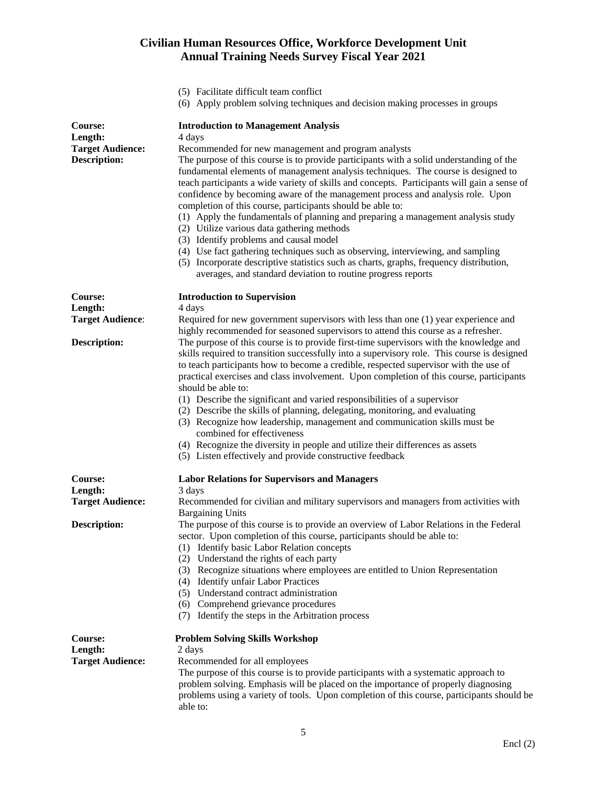- (5) Facilitate difficult team conflict
- (6) Apply problem solving techniques and decision making processes in groups

| <b>Course:</b><br>Length:<br><b>Target Audience:</b><br><b>Description:</b> | <b>Introduction to Management Analysis</b><br>4 days<br>Recommended for new management and program analysts<br>The purpose of this course is to provide participants with a solid understanding of the<br>fundamental elements of management analysis techniques. The course is designed to<br>teach participants a wide variety of skills and concepts. Participants will gain a sense of<br>confidence by becoming aware of the management process and analysis role. Upon<br>completion of this course, participants should be able to:<br>(1) Apply the fundamentals of planning and preparing a management analysis study<br>(2) Utilize various data gathering methods<br>(3) Identify problems and causal model<br>(4) Use fact gathering techniques such as observing, interviewing, and sampling<br>(5) Incorporate descriptive statistics such as charts, graphs, frequency distribution,<br>averages, and standard deviation to routine progress reports |
|-----------------------------------------------------------------------------|---------------------------------------------------------------------------------------------------------------------------------------------------------------------------------------------------------------------------------------------------------------------------------------------------------------------------------------------------------------------------------------------------------------------------------------------------------------------------------------------------------------------------------------------------------------------------------------------------------------------------------------------------------------------------------------------------------------------------------------------------------------------------------------------------------------------------------------------------------------------------------------------------------------------------------------------------------------------|
| Course:                                                                     | <b>Introduction to Supervision</b>                                                                                                                                                                                                                                                                                                                                                                                                                                                                                                                                                                                                                                                                                                                                                                                                                                                                                                                                  |
| Length:                                                                     | 4 days                                                                                                                                                                                                                                                                                                                                                                                                                                                                                                                                                                                                                                                                                                                                                                                                                                                                                                                                                              |
| <b>Target Audience:</b>                                                     | Required for new government supervisors with less than one (1) year experience and<br>highly recommended for seasoned supervisors to attend this course as a refresher.                                                                                                                                                                                                                                                                                                                                                                                                                                                                                                                                                                                                                                                                                                                                                                                             |
| <b>Description:</b>                                                         | The purpose of this course is to provide first-time supervisors with the knowledge and<br>skills required to transition successfully into a supervisory role. This course is designed<br>to teach participants how to become a credible, respected supervisor with the use of<br>practical exercises and class involvement. Upon completion of this course, participants<br>should be able to:<br>(1) Describe the significant and varied responsibilities of a supervisor<br>(2) Describe the skills of planning, delegating, monitoring, and evaluating<br>(3) Recognize how leadership, management and communication skills must be<br>combined for effectiveness<br>(4) Recognize the diversity in people and utilize their differences as assets<br>(5) Listen effectively and provide constructive feedback                                                                                                                                                   |
| Course:                                                                     | <b>Labor Relations for Supervisors and Managers</b>                                                                                                                                                                                                                                                                                                                                                                                                                                                                                                                                                                                                                                                                                                                                                                                                                                                                                                                 |
| Length:                                                                     | 3 days                                                                                                                                                                                                                                                                                                                                                                                                                                                                                                                                                                                                                                                                                                                                                                                                                                                                                                                                                              |
| <b>Target Audience:</b>                                                     | Recommended for civilian and military supervisors and managers from activities with<br><b>Bargaining Units</b>                                                                                                                                                                                                                                                                                                                                                                                                                                                                                                                                                                                                                                                                                                                                                                                                                                                      |
| <b>Description:</b>                                                         | The purpose of this course is to provide an overview of Labor Relations in the Federal<br>sector. Upon completion of this course, participants should be able to:<br>(1) Identify basic Labor Relation concepts<br>(2) Understand the rights of each party<br>(3) Recognize situations where employees are entitled to Union Representation<br><b>Identify unfair Labor Practices</b><br>(4)<br>(5) Understand contract administration<br>(6) Comprehend grievance procedures<br>Identify the steps in the Arbitration process<br>(7)                                                                                                                                                                                                                                                                                                                                                                                                                               |
| Course:                                                                     | <b>Problem Solving Skills Workshop</b>                                                                                                                                                                                                                                                                                                                                                                                                                                                                                                                                                                                                                                                                                                                                                                                                                                                                                                                              |
| Length:                                                                     | 2 days                                                                                                                                                                                                                                                                                                                                                                                                                                                                                                                                                                                                                                                                                                                                                                                                                                                                                                                                                              |
| <b>Target Audience:</b>                                                     | Recommended for all employees<br>The purpose of this course is to provide participants with a systematic approach to<br>problem solving. Emphasis will be placed on the importance of properly diagnosing<br>problems using a variety of tools. Upon completion of this course, participants should be<br>able to:                                                                                                                                                                                                                                                                                                                                                                                                                                                                                                                                                                                                                                                  |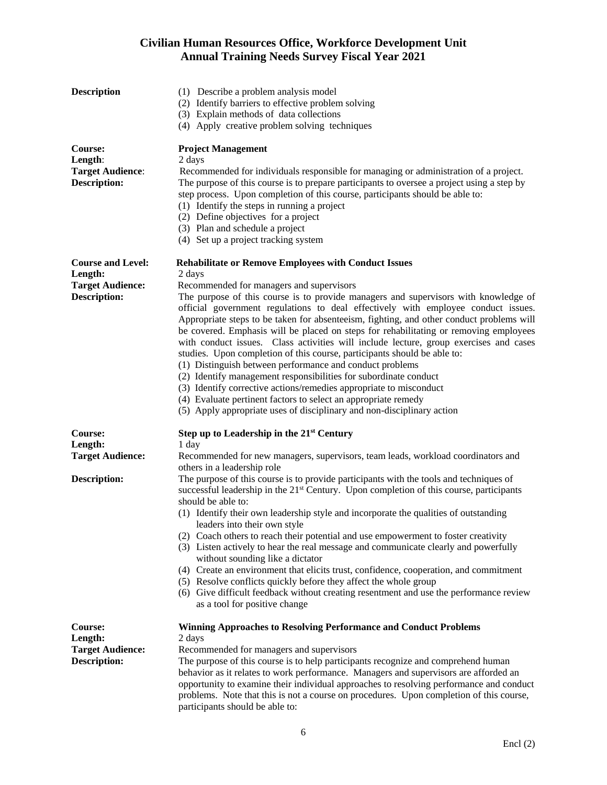| <b>Description</b>                                                                    | (1) Describe a problem analysis model<br>(2) Identify barriers to effective problem solving<br>(3) Explain methods of data collections<br>(4) Apply creative problem solving techniques                                                                                                                                                                                                                                                                                                                                                                                                                                                                                                                                                                                                                                                                                                                                                                                                                                                   |
|---------------------------------------------------------------------------------------|-------------------------------------------------------------------------------------------------------------------------------------------------------------------------------------------------------------------------------------------------------------------------------------------------------------------------------------------------------------------------------------------------------------------------------------------------------------------------------------------------------------------------------------------------------------------------------------------------------------------------------------------------------------------------------------------------------------------------------------------------------------------------------------------------------------------------------------------------------------------------------------------------------------------------------------------------------------------------------------------------------------------------------------------|
| Course:<br>Length:<br><b>Target Audience:</b><br><b>Description:</b>                  | <b>Project Management</b><br>2 days<br>Recommended for individuals responsible for managing or administration of a project.<br>The purpose of this course is to prepare participants to oversee a project using a step by<br>step process. Upon completion of this course, participants should be able to:<br>(1) Identify the steps in running a project<br>(2) Define objectives for a project<br>(3) Plan and schedule a project<br>(4) Set up a project tracking system                                                                                                                                                                                                                                                                                                                                                                                                                                                                                                                                                               |
| <b>Course and Level:</b><br>Length:<br><b>Target Audience:</b><br><b>Description:</b> | <b>Rehabilitate or Remove Employees with Conduct Issues</b><br>2 days<br>Recommended for managers and supervisors<br>The purpose of this course is to provide managers and supervisors with knowledge of<br>official government regulations to deal effectively with employee conduct issues.<br>Appropriate steps to be taken for absenteeism, fighting, and other conduct problems will<br>be covered. Emphasis will be placed on steps for rehabilitating or removing employees<br>with conduct issues. Class activities will include lecture, group exercises and cases<br>studies. Upon completion of this course, participants should be able to:<br>(1) Distinguish between performance and conduct problems<br>(2) Identify management responsibilities for subordinate conduct<br>(3) Identify corrective actions/remedies appropriate to misconduct<br>(4) Evaluate pertinent factors to select an appropriate remedy<br>(5) Apply appropriate uses of disciplinary and non-disciplinary action                                 |
| Course:<br>Length:<br><b>Target Audience:</b><br><b>Description:</b>                  | Step up to Leadership in the 21 <sup>st</sup> Century<br>1 day<br>Recommended for new managers, supervisors, team leads, workload coordinators and<br>others in a leadership role<br>The purpose of this course is to provide participants with the tools and techniques of<br>successful leadership in the 21 <sup>st</sup> Century. Upon completion of this course, participants<br>should be able to:<br>(1) Identify their own leadership style and incorporate the qualities of outstanding<br>leaders into their own style<br>(2) Coach others to reach their potential and use empowerment to foster creativity<br>(3) Listen actively to hear the real message and communicate clearly and powerfully<br>without sounding like a dictator<br>(4) Create an environment that elicits trust, confidence, cooperation, and commitment<br>(5) Resolve conflicts quickly before they affect the whole group<br>(6) Give difficult feedback without creating resentment and use the performance review<br>as a tool for positive change |
| Course:<br>Length:<br><b>Target Audience:</b><br><b>Description:</b>                  | <b>Winning Approaches to Resolving Performance and Conduct Problems</b><br>2 days<br>Recommended for managers and supervisors<br>The purpose of this course is to help participants recognize and comprehend human<br>behavior as it relates to work performance. Managers and supervisors are afforded an<br>opportunity to examine their individual approaches to resolving performance and conduct<br>problems. Note that this is not a course on procedures. Upon completion of this course,<br>participants should be able to:                                                                                                                                                                                                                                                                                                                                                                                                                                                                                                       |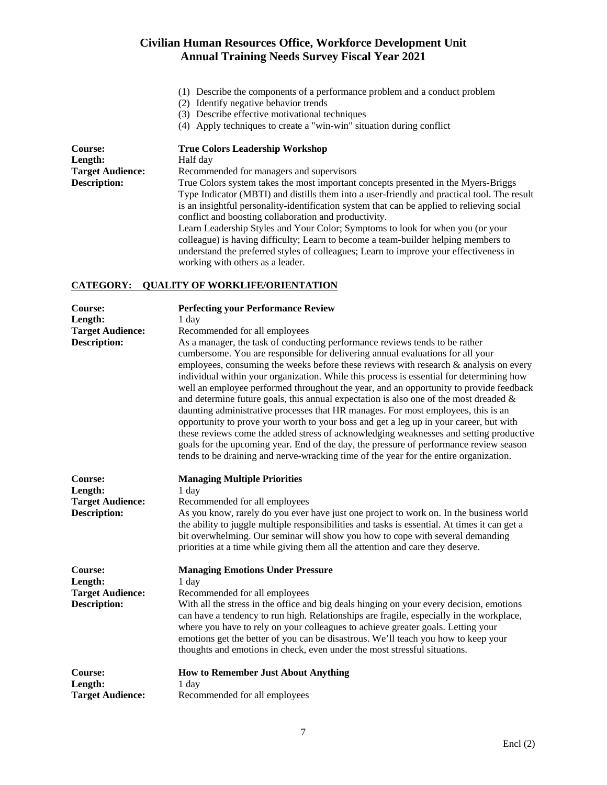- (1) Describe the components of a performance problem and a conduct problem
- (2) Identify negative behavior trends
- (3) Describe effective motivational techniques
- (4) Apply techniques to create a "win-win" situation during conflict

| <b>Course:</b>          | <b>True Colors Leadership Workshop</b>                                                      |
|-------------------------|---------------------------------------------------------------------------------------------|
| Length:                 | Half day                                                                                    |
| <b>Target Audience:</b> | Recommended for managers and supervisors                                                    |
| <b>Description:</b>     | True Colors system takes the most important concepts presented in the Myers-Briggs          |
|                         | Type Indicator (MBTI) and distills them into a user-friendly and practical tool. The result |
|                         | is an insightful personality-identification system that can be applied to relieving social  |
|                         | conflict and boosting collaboration and productivity.                                       |
|                         | Learn Leadership Styles and Your Color; Symptoms to look for when you (or your              |
|                         | colleague) is having difficulty; Learn to become a team-builder helping members to          |
|                         | understand the preferred styles of colleagues; Learn to improve your effectiveness in       |
|                         | working with others as a leader.                                                            |

#### **CATEGORY: QUALITY OF WORKLIFE/ORIENTATION**

| Course:<br>Length:<br><b>Target Audience:</b><br><b>Description:</b> | <b>Perfecting your Performance Review</b><br>1 day<br>Recommended for all employees<br>As a manager, the task of conducting performance reviews tends to be rather<br>cumbersome. You are responsible for delivering annual evaluations for all your<br>employees, consuming the weeks before these reviews with research $\&$ analysis on every<br>individual within your organization. While this process is essential for determining how<br>well an employee performed throughout the year, and an opportunity to provide feedback<br>and determine future goals, this annual expectation is also one of the most dreaded $\&$<br>daunting administrative processes that HR manages. For most employees, this is an<br>opportunity to prove your worth to your boss and get a leg up in your career, but with<br>these reviews come the added stress of acknowledging weaknesses and setting productive<br>goals for the upcoming year. End of the day, the pressure of performance review season<br>tends to be draining and nerve-wracking time of the year for the entire organization. |
|----------------------------------------------------------------------|------------------------------------------------------------------------------------------------------------------------------------------------------------------------------------------------------------------------------------------------------------------------------------------------------------------------------------------------------------------------------------------------------------------------------------------------------------------------------------------------------------------------------------------------------------------------------------------------------------------------------------------------------------------------------------------------------------------------------------------------------------------------------------------------------------------------------------------------------------------------------------------------------------------------------------------------------------------------------------------------------------------------------------------------------------------------------------------------|
| Course:<br>Length:<br><b>Target Audience:</b><br><b>Description:</b> | <b>Managing Multiple Priorities</b><br>1 day<br>Recommended for all employees<br>As you know, rarely do you ever have just one project to work on. In the business world<br>the ability to juggle multiple responsibilities and tasks is essential. At times it can get a<br>bit overwhelming. Our seminar will show you how to cope with several demanding<br>priorities at a time while giving them all the attention and care they deserve.                                                                                                                                                                                                                                                                                                                                                                                                                                                                                                                                                                                                                                                 |
| Course:<br>Length:<br><b>Target Audience:</b><br><b>Description:</b> | <b>Managing Emotions Under Pressure</b><br>1 day<br>Recommended for all employees<br>With all the stress in the office and big deals hinging on your every decision, emotions<br>can have a tendency to run high. Relationships are fragile, especially in the workplace,<br>where you have to rely on your colleagues to achieve greater goals. Letting your<br>emotions get the better of you can be disastrous. We'll teach you how to keep your<br>thoughts and emotions in check, even under the most stressful situations.                                                                                                                                                                                                                                                                                                                                                                                                                                                                                                                                                               |
| Course:<br>Length:<br><b>Target Audience:</b>                        | <b>How to Remember Just About Anything</b><br>1 day<br>Recommended for all employees                                                                                                                                                                                                                                                                                                                                                                                                                                                                                                                                                                                                                                                                                                                                                                                                                                                                                                                                                                                                           |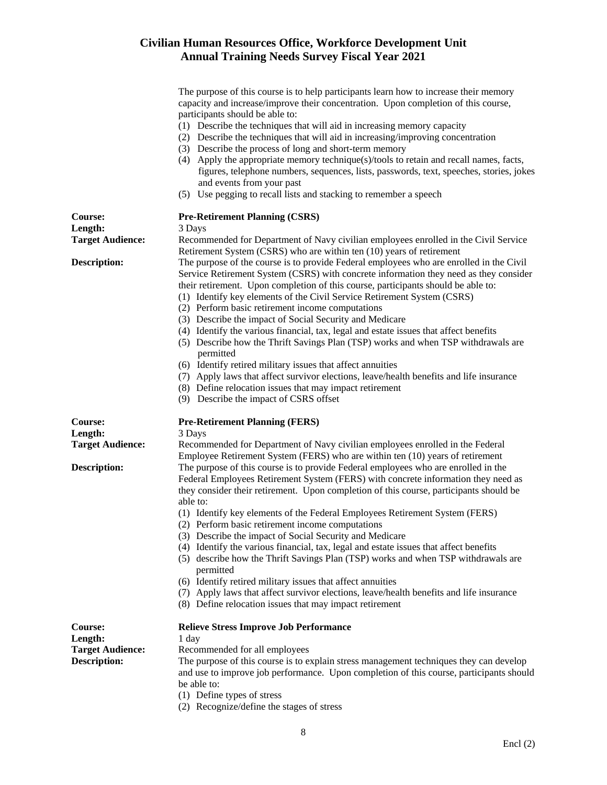|                                                                             | The purpose of this course is to help participants learn how to increase their memory<br>capacity and increase/improve their concentration. Upon completion of this course,<br>participants should be able to:<br>(1) Describe the techniques that will aid in increasing memory capacity<br>(2) Describe the techniques that will aid in increasing/improving concentration<br>(3) Describe the process of long and short-term memory<br>(4) Apply the appropriate memory technique(s)/tools to retain and recall names, facts,<br>figures, telephone numbers, sequences, lists, passwords, text, speeches, stories, jokes<br>and events from your past<br>(5) Use pegging to recall lists and stacking to remember a speech                                                                                                                                                                                            |
|-----------------------------------------------------------------------------|--------------------------------------------------------------------------------------------------------------------------------------------------------------------------------------------------------------------------------------------------------------------------------------------------------------------------------------------------------------------------------------------------------------------------------------------------------------------------------------------------------------------------------------------------------------------------------------------------------------------------------------------------------------------------------------------------------------------------------------------------------------------------------------------------------------------------------------------------------------------------------------------------------------------------|
| Course:                                                                     | <b>Pre-Retirement Planning (CSRS)</b>                                                                                                                                                                                                                                                                                                                                                                                                                                                                                                                                                                                                                                                                                                                                                                                                                                                                                    |
| Length:<br><b>Target Audience:</b>                                          | 3 Days<br>Recommended for Department of Navy civilian employees enrolled in the Civil Service<br>Retirement System (CSRS) who are within ten (10) years of retirement                                                                                                                                                                                                                                                                                                                                                                                                                                                                                                                                                                                                                                                                                                                                                    |
| <b>Description:</b>                                                         | The purpose of the course is to provide Federal employees who are enrolled in the Civil<br>Service Retirement System (CSRS) with concrete information they need as they consider<br>their retirement. Upon completion of this course, participants should be able to:<br>(1) Identify key elements of the Civil Service Retirement System (CSRS)<br>(2) Perform basic retirement income computations<br>(3) Describe the impact of Social Security and Medicare<br>(4) Identify the various financial, tax, legal and estate issues that affect benefits<br>(5) Describe how the Thrift Savings Plan (TSP) works and when TSP withdrawals are<br>permitted<br>(6) Identify retired military issues that affect annuities<br>(7) Apply laws that affect survivor elections, leave/health benefits and life insurance<br>(8) Define relocation issues that may impact retirement<br>(9) Describe the impact of CSRS offset |
| Course:<br>Length:                                                          | <b>Pre-Retirement Planning (FERS)</b><br>3 Days                                                                                                                                                                                                                                                                                                                                                                                                                                                                                                                                                                                                                                                                                                                                                                                                                                                                          |
| <b>Target Audience:</b>                                                     | Recommended for Department of Navy civilian employees enrolled in the Federal<br>Employee Retirement System (FERS) who are within ten (10) years of retirement                                                                                                                                                                                                                                                                                                                                                                                                                                                                                                                                                                                                                                                                                                                                                           |
| <b>Description:</b>                                                         | The purpose of this course is to provide Federal employees who are enrolled in the<br>Federal Employees Retirement System (FERS) with concrete information they need as<br>they consider their retirement. Upon completion of this course, participants should be<br>able to:<br>(1) Identify key elements of the Federal Employees Retirement System (FERS)<br>(2) Perform basic retirement income computations<br>(3) Describe the impact of Social Security and Medicare<br>(4) Identify the various financial, tax, legal and estate issues that affect benefits<br>(5) describe how the Thrift Savings Plan (TSP) works and when TSP withdrawals are<br>permitted<br>(6) Identify retired military issues that affect annuities<br>(7) Apply laws that affect survivor elections, leave/health benefits and life insurance<br>(8) Define relocation issues that may impact retirement                               |
| <b>Course:</b><br>Length:<br><b>Target Audience:</b><br><b>Description:</b> | <b>Relieve Stress Improve Job Performance</b><br>1 day<br>Recommended for all employees<br>The purpose of this course is to explain stress management techniques they can develop<br>and use to improve job performance. Upon completion of this course, participants should<br>be able to:<br>(1) Define types of stress                                                                                                                                                                                                                                                                                                                                                                                                                                                                                                                                                                                                |

(2) Recognize/define the stages of stress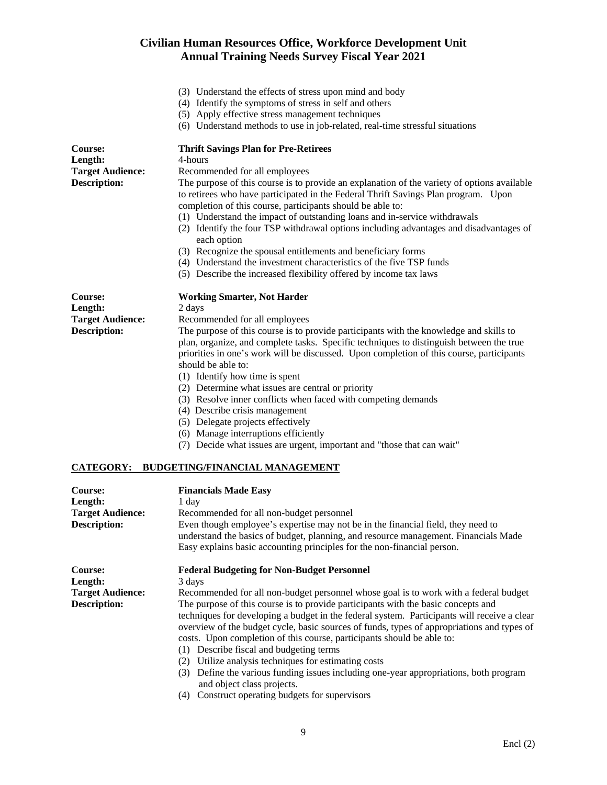- (3) Understand the effects of stress upon mind and body
- (4) Identify the symptoms of stress in self and others
- (5) Apply effective stress management techniques
- (6) Understand methods to use in job-related, real-time stressful situations

| Course:                 | <b>Thrift Savings Plan for Pre-Retirees</b>                                                                                                                                                                                                                                                                                                                                                                                                                                                                                                                                                                                                          |
|-------------------------|------------------------------------------------------------------------------------------------------------------------------------------------------------------------------------------------------------------------------------------------------------------------------------------------------------------------------------------------------------------------------------------------------------------------------------------------------------------------------------------------------------------------------------------------------------------------------------------------------------------------------------------------------|
| Length:                 | 4-hours                                                                                                                                                                                                                                                                                                                                                                                                                                                                                                                                                                                                                                              |
| <b>Target Audience:</b> | Recommended for all employees                                                                                                                                                                                                                                                                                                                                                                                                                                                                                                                                                                                                                        |
| <b>Description:</b>     | The purpose of this course is to provide an explanation of the variety of options available<br>to retirees who have participated in the Federal Thrift Savings Plan program. Upon<br>completion of this course, participants should be able to:<br>(1) Understand the impact of outstanding loans and in-service withdrawals<br>(2) Identify the four TSP withdrawal options including advantages and disadvantages of<br>each option<br>(3) Recognize the spousal entitlements and beneficiary forms<br>(4) Understand the investment characteristics of the five TSP funds<br>(5) Describe the increased flexibility offered by income tax laws    |
|                         |                                                                                                                                                                                                                                                                                                                                                                                                                                                                                                                                                                                                                                                      |
| <b>Course:</b>          | <b>Working Smarter, Not Harder</b>                                                                                                                                                                                                                                                                                                                                                                                                                                                                                                                                                                                                                   |
| Length:                 | 2 days                                                                                                                                                                                                                                                                                                                                                                                                                                                                                                                                                                                                                                               |
| <b>Target Audience:</b> | Recommended for all employees                                                                                                                                                                                                                                                                                                                                                                                                                                                                                                                                                                                                                        |
| <b>Description:</b>     | The purpose of this course is to provide participants with the knowledge and skills to<br>plan, organize, and complete tasks. Specific techniques to distinguish between the true<br>priorities in one's work will be discussed. Upon completion of this course, participants<br>should be able to:<br>(1) Identify how time is spent<br>(2) Determine what issues are central or priority<br>(3) Resolve inner conflicts when faced with competing demands<br>(4) Describe crisis management<br>(5) Delegate projects effectively<br>(6) Manage interruptions efficiently<br>(7) Decide what issues are urgent, important and "those that can wait" |
|                         | CATEGORY: BUDGETING/FINANCIAL MANAGEMENT                                                                                                                                                                                                                                                                                                                                                                                                                                                                                                                                                                                                             |
| <b>Course:</b>          | <b>Financials Made Easy</b>                                                                                                                                                                                                                                                                                                                                                                                                                                                                                                                                                                                                                          |
| Length:                 | 1 day                                                                                                                                                                                                                                                                                                                                                                                                                                                                                                                                                                                                                                                |
| <b>Target Audience:</b> | Recommended for all non-budget personnel                                                                                                                                                                                                                                                                                                                                                                                                                                                                                                                                                                                                             |
| Description:            | Even though employee's expertise may not be in the financial field, they need to<br>understand the basics of budget, planning, and resource management. Financials Made<br>Easy explains basic accounting principles for the non-financial person.                                                                                                                                                                                                                                                                                                                                                                                                   |
| Course:<br>Length:      | <b>Federal Budgeting for Non-Budget Personnel</b><br>3 days                                                                                                                                                                                                                                                                                                                                                                                                                                                                                                                                                                                          |

**Target Audience:** Recommended for all non-budget personnel whose goal is to work with a federal budget **Description:** The purpose of this course is to provide participants with the basic concepts and techniques for developing a budget in the federal system. Participants will receive a clear overview of the budget cycle, basic sources of funds, types of appropriations and types of costs. Upon completion of this course, participants should be able to:

- (1) Describe fiscal and budgeting terms
- (2) Utilize analysis techniques for estimating costs
- (3) Define the various funding issues including one-year appropriations, both program and object class projects.
- (4) Construct operating budgets for supervisors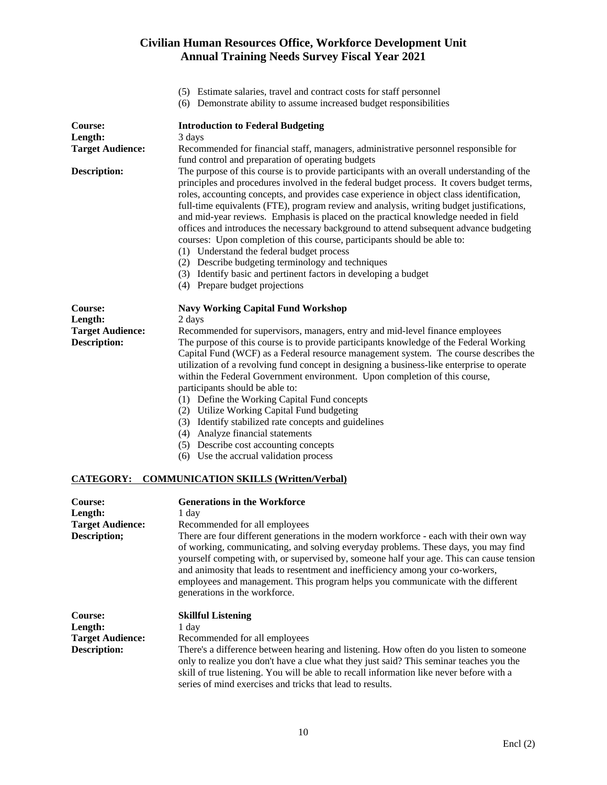- (5) Estimate salaries, travel and contract costs for staff personnel
- (6) Demonstrate ability to assume increased budget responsibilities

| Course:<br>Length:<br><b>Target Audience:</b><br><b>Description:</b>        | <b>Introduction to Federal Budgeting</b><br>3 days<br>Recommended for financial staff, managers, administrative personnel responsible for<br>fund control and preparation of operating budgets<br>The purpose of this course is to provide participants with an overall understanding of the<br>principles and procedures involved in the federal budget process. It covers budget terms,<br>roles, accounting concepts, and provides case experience in object class identification,<br>full-time equivalents (FTE), program review and analysis, writing budget justifications,<br>and mid-year reviews. Emphasis is placed on the practical knowledge needed in field<br>offices and introduces the necessary background to attend subsequent advance budgeting   |
|-----------------------------------------------------------------------------|----------------------------------------------------------------------------------------------------------------------------------------------------------------------------------------------------------------------------------------------------------------------------------------------------------------------------------------------------------------------------------------------------------------------------------------------------------------------------------------------------------------------------------------------------------------------------------------------------------------------------------------------------------------------------------------------------------------------------------------------------------------------|
|                                                                             | courses: Upon completion of this course, participants should be able to:<br>(1) Understand the federal budget process<br>(2) Describe budgeting terminology and techniques<br>(3) Identify basic and pertinent factors in developing a budget<br>(4) Prepare budget projections                                                                                                                                                                                                                                                                                                                                                                                                                                                                                      |
| Course:                                                                     | <b>Navy Working Capital Fund Workshop</b>                                                                                                                                                                                                                                                                                                                                                                                                                                                                                                                                                                                                                                                                                                                            |
| Length:<br><b>Target Audience:</b><br><b>Description:</b>                   | 2 days<br>Recommended for supervisors, managers, entry and mid-level finance employees<br>The purpose of this course is to provide participants knowledge of the Federal Working<br>Capital Fund (WCF) as a Federal resource management system. The course describes the<br>utilization of a revolving fund concept in designing a business-like enterprise to operate<br>within the Federal Government environment. Upon completion of this course,<br>participants should be able to:<br>(1) Define the Working Capital Fund concepts<br>(2) Utilize Working Capital Fund budgeting<br>(3) Identify stabilized rate concepts and guidelines<br>(4) Analyze financial statements<br>(5) Describe cost accounting concepts<br>(6) Use the accrual validation process |
| <b>CATEGORY:</b>                                                            | <b>COMMUNICATION SKILLS (Written/Verbal)</b>                                                                                                                                                                                                                                                                                                                                                                                                                                                                                                                                                                                                                                                                                                                         |
| Course:<br>Length:<br><b>Target Audience:</b><br>Description;               | <b>Generations in the Workforce</b><br>1 day<br>Recommended for all employees<br>There are four different generations in the modern workforce - each with their own way<br>of working, communicating, and solving everyday problems. These days, you may find<br>yourself competing with, or supervised by, someone half your age. This can cause tension<br>and animosity that leads to resentment and inefficiency among your co-workers,<br>employees and management. This program helps you communicate with the different<br>generations in the workforce.                                                                                                                                                                                                      |
| <b>Course:</b><br>Length:<br><b>Target Audience:</b><br><b>Description:</b> | <b>Skillful Listening</b><br>1 day<br>Recommended for all employees<br>There's a difference between hearing and listening. How often do you listen to someone<br>only to realize you don't have a clue what they just said? This seminar teaches you the                                                                                                                                                                                                                                                                                                                                                                                                                                                                                                             |

series of mind exercises and tricks that lead to results.

skill of true listening. You will be able to recall information like never before with a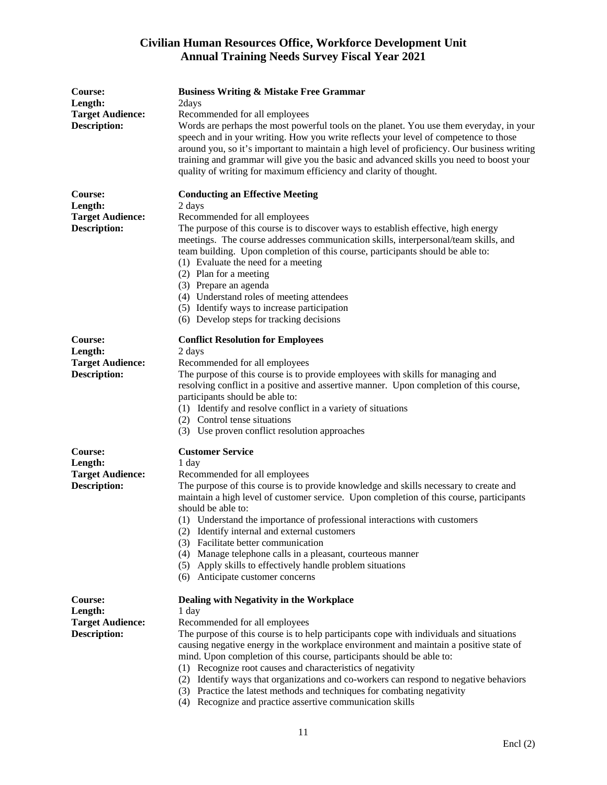| <b>Course:</b><br>Length:                      | <b>Business Writing &amp; Mistake Free Grammar</b><br>2days                                                                                                                                                                                                 |
|------------------------------------------------|-------------------------------------------------------------------------------------------------------------------------------------------------------------------------------------------------------------------------------------------------------------|
| <b>Target Audience:</b>                        | Recommended for all employees                                                                                                                                                                                                                               |
| <b>Description:</b>                            | Words are perhaps the most powerful tools on the planet. You use them everyday, in your<br>speech and in your writing. How you write reflects your level of competence to those                                                                             |
|                                                | around you, so it's important to maintain a high level of proficiency. Our business writing                                                                                                                                                                 |
|                                                | training and grammar will give you the basic and advanced skills you need to boost your                                                                                                                                                                     |
|                                                | quality of writing for maximum efficiency and clarity of thought.                                                                                                                                                                                           |
| Course:                                        | <b>Conducting an Effective Meeting</b>                                                                                                                                                                                                                      |
| Length:                                        | 2 days                                                                                                                                                                                                                                                      |
| <b>Target Audience:</b>                        | Recommended for all employees                                                                                                                                                                                                                               |
| <b>Description:</b>                            | The purpose of this course is to discover ways to establish effective, high energy<br>meetings. The course addresses communication skills, interpersonal/team skills, and<br>team building. Upon completion of this course, participants should be able to: |
|                                                | (1) Evaluate the need for a meeting                                                                                                                                                                                                                         |
|                                                | (2) Plan for a meeting                                                                                                                                                                                                                                      |
|                                                | (3) Prepare an agenda                                                                                                                                                                                                                                       |
|                                                | (4) Understand roles of meeting attendees                                                                                                                                                                                                                   |
|                                                | (5) Identify ways to increase participation                                                                                                                                                                                                                 |
|                                                | (6) Develop steps for tracking decisions                                                                                                                                                                                                                    |
| <b>Course:</b>                                 | <b>Conflict Resolution for Employees</b>                                                                                                                                                                                                                    |
| Length:<br><b>Target Audience:</b>             | 2 days<br>Recommended for all employees                                                                                                                                                                                                                     |
| <b>Description:</b>                            | The purpose of this course is to provide employees with skills for managing and                                                                                                                                                                             |
|                                                | resolving conflict in a positive and assertive manner. Upon completion of this course,                                                                                                                                                                      |
|                                                | participants should be able to:                                                                                                                                                                                                                             |
|                                                | (1) Identify and resolve conflict in a variety of situations                                                                                                                                                                                                |
|                                                | (2) Control tense situations                                                                                                                                                                                                                                |
|                                                | (3) Use proven conflict resolution approaches                                                                                                                                                                                                               |
| <b>Course:</b>                                 | <b>Customer Service</b>                                                                                                                                                                                                                                     |
| Length:                                        | 1 day                                                                                                                                                                                                                                                       |
| <b>Target Audience:</b><br><b>Description:</b> | Recommended for all employees<br>The purpose of this course is to provide knowledge and skills necessary to create and                                                                                                                                      |
|                                                | maintain a high level of customer service. Upon completion of this course, participants<br>should be able to:                                                                                                                                               |
|                                                | (1) Understand the importance of professional interactions with customers                                                                                                                                                                                   |
|                                                | (2) Identify internal and external customers                                                                                                                                                                                                                |
|                                                | (3) Facilitate better communication                                                                                                                                                                                                                         |
|                                                | (4) Manage telephone calls in a pleasant, courteous manner                                                                                                                                                                                                  |
|                                                | (5) Apply skills to effectively handle problem situations                                                                                                                                                                                                   |
|                                                | (6) Anticipate customer concerns                                                                                                                                                                                                                            |
| Course:                                        | Dealing with Negativity in the Workplace                                                                                                                                                                                                                    |
| Length:                                        | 1 day                                                                                                                                                                                                                                                       |
| <b>Target Audience:</b>                        | Recommended for all employees                                                                                                                                                                                                                               |
| <b>Description:</b>                            | The purpose of this course is to help participants cope with individuals and situations<br>causing negative energy in the workplace environment and maintain a positive state of                                                                            |
|                                                | mind. Upon completion of this course, participants should be able to:                                                                                                                                                                                       |
|                                                | (1) Recognize root causes and characteristics of negativity                                                                                                                                                                                                 |
|                                                | (2) Identify ways that organizations and co-workers can respond to negative behaviors                                                                                                                                                                       |
|                                                | (3) Practice the latest methods and techniques for combating negativity                                                                                                                                                                                     |
|                                                | (4) Recognize and practice assertive communication skills                                                                                                                                                                                                   |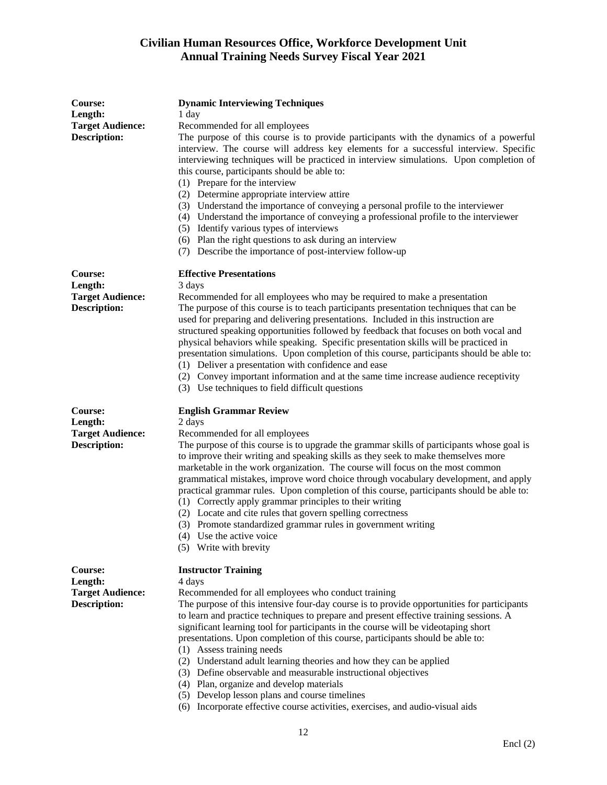| Course:<br>Length:<br><b>Target Audience:</b><br><b>Description:</b> | <b>Dynamic Interviewing Techniques</b><br>1 day<br>Recommended for all employees<br>The purpose of this course is to provide participants with the dynamics of a powerful<br>interview. The course will address key elements for a successful interview. Specific<br>interviewing techniques will be practiced in interview simulations. Upon completion of<br>this course, participants should be able to:<br>(1) Prepare for the interview<br>(2) Determine appropriate interview attire<br>(3) Understand the importance of conveying a personal profile to the interviewer<br>(4) Understand the importance of conveying a professional profile to the interviewer<br>(5) Identify various types of interviews<br>(6) Plan the right questions to ask during an interview<br>(7) Describe the importance of post-interview follow-up |
|----------------------------------------------------------------------|------------------------------------------------------------------------------------------------------------------------------------------------------------------------------------------------------------------------------------------------------------------------------------------------------------------------------------------------------------------------------------------------------------------------------------------------------------------------------------------------------------------------------------------------------------------------------------------------------------------------------------------------------------------------------------------------------------------------------------------------------------------------------------------------------------------------------------------|
| Course:<br>Length:<br><b>Target Audience:</b><br><b>Description:</b> | <b>Effective Presentations</b><br>3 days<br>Recommended for all employees who may be required to make a presentation<br>The purpose of this course is to teach participants presentation techniques that can be<br>used for preparing and delivering presentations. Included in this instruction are<br>structured speaking opportunities followed by feedback that focuses on both vocal and<br>physical behaviors while speaking. Specific presentation skills will be practiced in<br>presentation simulations. Upon completion of this course, participants should be able to:<br>(1) Deliver a presentation with confidence and ease<br>(2) Convey important information and at the same time increase audience receptivity<br>(3) Use techniques to field difficult questions                                                      |
| Course:<br>Length:<br><b>Target Audience:</b><br><b>Description:</b> | <b>English Grammar Review</b><br>2 days<br>Recommended for all employees<br>The purpose of this course is to upgrade the grammar skills of participants whose goal is<br>to improve their writing and speaking skills as they seek to make themselves more<br>marketable in the work organization. The course will focus on the most common<br>grammatical mistakes, improve word choice through vocabulary development, and apply<br>practical grammar rules. Upon completion of this course, participants should be able to:<br>(1) Correctly apply grammar principles to their writing<br>(2) Locate and cite rules that govern spelling correctness<br>(3) Promote standardized grammar rules in government writing<br>(4) Use the active voice<br>(5) Write with brevity                                                            |
| Course:<br>Length:<br><b>Target Audience:</b><br><b>Description:</b> | <b>Instructor Training</b><br>4 days<br>Recommended for all employees who conduct training<br>The purpose of this intensive four-day course is to provide opportunities for participants<br>to learn and practice techniques to prepare and present effective training sessions. A<br>significant learning tool for participants in the course will be videotaping short<br>presentations. Upon completion of this course, participants should be able to:<br>(1) Assess training needs<br>(2) Understand adult learning theories and how they can be applied<br>(3) Define observable and measurable instructional objectives<br>(4) Plan, organize and develop materials<br>(5) Develop lesson plans and course timelines                                                                                                              |

(6) Incorporate effective course activities, exercises, and audio-visual aids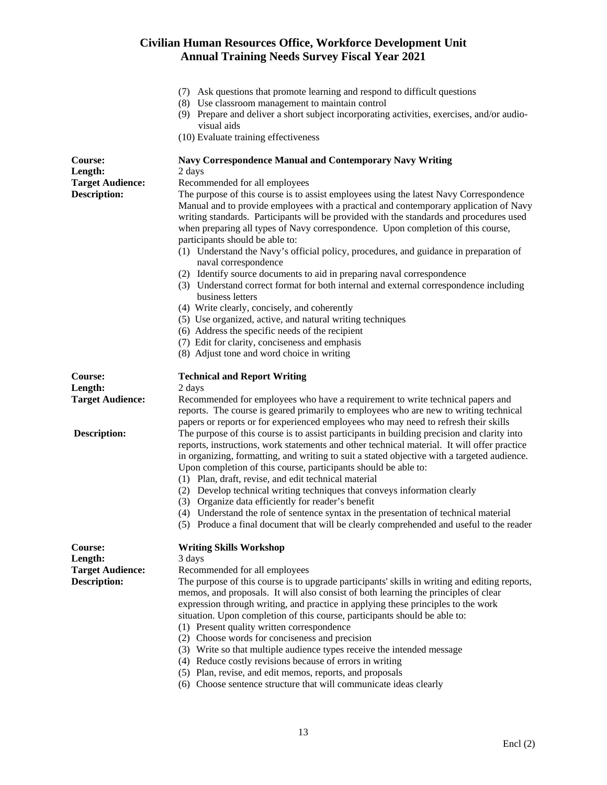|                         | (7) Ask questions that promote learning and respond to difficult questions<br>(8) Use classroom management to maintain control<br>(9) Prepare and deliver a short subject incorporating activities, exercises, and/or audio-<br>visual aids<br>(10) Evaluate training effectiveness                                                                                                                                                                                                                                                                                                                                                                       |
|-------------------------|-----------------------------------------------------------------------------------------------------------------------------------------------------------------------------------------------------------------------------------------------------------------------------------------------------------------------------------------------------------------------------------------------------------------------------------------------------------------------------------------------------------------------------------------------------------------------------------------------------------------------------------------------------------|
| Course:<br>Length:      | <b>Navy Correspondence Manual and Contemporary Navy Writing</b><br>2 days                                                                                                                                                                                                                                                                                                                                                                                                                                                                                                                                                                                 |
| <b>Target Audience:</b> | Recommended for all employees                                                                                                                                                                                                                                                                                                                                                                                                                                                                                                                                                                                                                             |
| <b>Description:</b>     | The purpose of this course is to assist employees using the latest Navy Correspondence<br>Manual and to provide employees with a practical and contemporary application of Navy<br>writing standards. Participants will be provided with the standards and procedures used<br>when preparing all types of Navy correspondence. Upon completion of this course,<br>participants should be able to:<br>(1) Understand the Navy's official policy, procedures, and guidance in preparation of<br>naval correspondence                                                                                                                                        |
|                         | (2) Identify source documents to aid in preparing naval correspondence                                                                                                                                                                                                                                                                                                                                                                                                                                                                                                                                                                                    |
|                         | (3) Understand correct format for both internal and external correspondence including<br>business letters                                                                                                                                                                                                                                                                                                                                                                                                                                                                                                                                                 |
|                         | (4) Write clearly, concisely, and coherently                                                                                                                                                                                                                                                                                                                                                                                                                                                                                                                                                                                                              |
|                         | (5) Use organized, active, and natural writing techniques                                                                                                                                                                                                                                                                                                                                                                                                                                                                                                                                                                                                 |
|                         | (6) Address the specific needs of the recipient                                                                                                                                                                                                                                                                                                                                                                                                                                                                                                                                                                                                           |
|                         | (7) Edit for clarity, conciseness and emphasis                                                                                                                                                                                                                                                                                                                                                                                                                                                                                                                                                                                                            |
|                         | (8) Adjust tone and word choice in writing                                                                                                                                                                                                                                                                                                                                                                                                                                                                                                                                                                                                                |
| Course:<br>Length:      | <b>Technical and Report Writing</b><br>2 days                                                                                                                                                                                                                                                                                                                                                                                                                                                                                                                                                                                                             |
| <b>Target Audience:</b> | Recommended for employees who have a requirement to write technical papers and<br>reports. The course is geared primarily to employees who are new to writing technical<br>papers or reports or for experienced employees who may need to refresh their skills                                                                                                                                                                                                                                                                                                                                                                                            |
| <b>Description:</b>     | The purpose of this course is to assist participants in building precision and clarity into<br>reports, instructions, work statements and other technical material. It will offer practice<br>in organizing, formatting, and writing to suit a stated objective with a targeted audience.<br>Upon completion of this course, participants should be able to:<br>(1) Plan, draft, revise, and edit technical material                                                                                                                                                                                                                                      |
|                         | (2) Develop technical writing techniques that conveys information clearly                                                                                                                                                                                                                                                                                                                                                                                                                                                                                                                                                                                 |
|                         | (3) Organize data efficiently for reader's benefit                                                                                                                                                                                                                                                                                                                                                                                                                                                                                                                                                                                                        |
|                         | (4) Understand the role of sentence syntax in the presentation of technical material<br>(5) Produce a final document that will be clearly comprehended and useful to the reader                                                                                                                                                                                                                                                                                                                                                                                                                                                                           |
| Course:                 | <b>Writing Skills Workshop</b>                                                                                                                                                                                                                                                                                                                                                                                                                                                                                                                                                                                                                            |
| Length:                 | 3 days                                                                                                                                                                                                                                                                                                                                                                                                                                                                                                                                                                                                                                                    |
| <b>Target Audience:</b> | Recommended for all employees                                                                                                                                                                                                                                                                                                                                                                                                                                                                                                                                                                                                                             |
| <b>Description:</b>     | The purpose of this course is to upgrade participants' skills in writing and editing reports,<br>memos, and proposals. It will also consist of both learning the principles of clear<br>expression through writing, and practice in applying these principles to the work<br>situation. Upon completion of this course, participants should be able to:<br>(1) Present quality written correspondence<br>(2) Choose words for conciseness and precision<br>(3) Write so that multiple audience types receive the intended message<br>(4) Reduce costly revisions because of errors in writing<br>(5) Plan, revise, and edit memos, reports, and proposals |
|                         | (6) Choose sentence structure that will communicate ideas clearly                                                                                                                                                                                                                                                                                                                                                                                                                                                                                                                                                                                         |